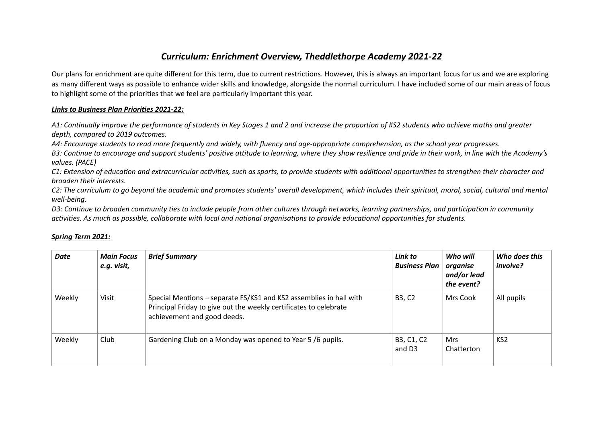## *Curriculum: Enrichment Overview, Theddlethorpe Academy 2021-22*

Our plans for enrichment are quite different for this term, due to current restrictions. However, this is always an important focus for us and we are exploring as many different ways as possible to enhance wider skills and knowledge, alongside the normal curriculum. I have included some of our main areas of focus to highlight some of the priorities that we feel are particularly important this year.

## *Links to Business Plan Priorities 2021-22:*

*A1: Continually improve the performance of students in Key Stages 1 and 2 and increase the proportion of KS2 students who achieve maths and greater depth, compared to 2019 outcomes.*

*A4: Encourage students to read more frequently and widely, with fluency and age-appropriate comprehension, as the school year progresses.*

B3: Continue to encourage and support students' positive attitude to learning, where they show resilience and pride in their work, in line with the Academy's *values. (PACE)*

*C1: Extension of education and extracurricular activities, such as sports, to provide students with additional opportunities to strengthen their character and broaden their interests.*

*C2: The curriculum to go beyond the academic and promotes students' overall development, which includes their spiritual, moral, social, cultural and mental well-being.*

*D3: Continue to broaden community ties to include people from other cultures through networks, learning partnerships, and participation in community activities. As much as possible, collaborate with local and national organisations to provide educational opportunities for students.*

| <b>Date</b> | <b>Main Focus</b><br>e.g. visit, | <b>Brief Summary</b>                                                                                                                                                   | Link to<br><b>Business Plan</b>  | Who will<br>organise<br>and/or lead<br>the event? | Who does this<br>involve? |
|-------------|----------------------------------|------------------------------------------------------------------------------------------------------------------------------------------------------------------------|----------------------------------|---------------------------------------------------|---------------------------|
| Weekly      | Visit                            | Special Mentions - separate FS/KS1 and KS2 assemblies in hall with<br>Principal Friday to give out the weekly certificates to celebrate<br>achievement and good deeds. | B3, C2                           | Mrs Cook                                          | All pupils                |
| Weekly      | Club                             | Gardening Club on a Monday was opened to Year 5 /6 pupils.                                                                                                             | B3, C1, C2<br>and D <sub>3</sub> | <b>Mrs</b><br>Chatterton                          | KS <sub>2</sub>           |

## *Spring Term 2021:*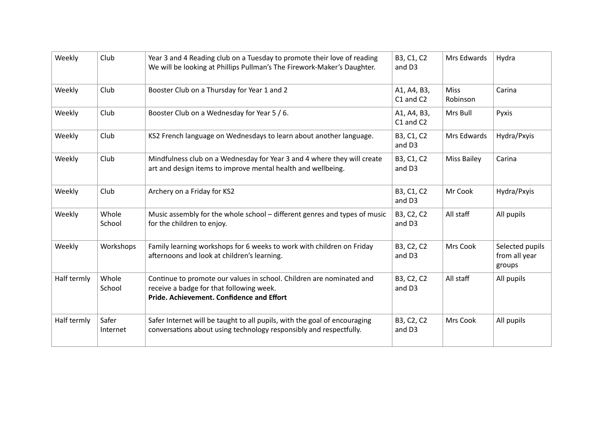| Weekly      | Club              | Year 3 and 4 Reading club on a Tuesday to promote their love of reading<br>We will be looking at Phillips Pullman's The Firework-Maker's Daughter.            | B3, C1, C2<br>and D3     | Mrs Edwards             | Hydra                                      |
|-------------|-------------------|---------------------------------------------------------------------------------------------------------------------------------------------------------------|--------------------------|-------------------------|--------------------------------------------|
| Weekly      | Club              | Booster Club on a Thursday for Year 1 and 2                                                                                                                   | A1, A4, B3,<br>C1 and C2 | <b>Miss</b><br>Robinson | Carina                                     |
| Weekly      | Club              | Booster Club on a Wednesday for Year 5 / 6.                                                                                                                   | A1, A4, B3,<br>C1 and C2 | Mrs Bull                | Pyxis                                      |
| Weekly      | Club              | KS2 French language on Wednesdays to learn about another language.                                                                                            | B3, C1, C2<br>and D3     | Mrs Edwards             | Hydra/Pxyis                                |
| Weekly      | Club              | Mindfulness club on a Wednesday for Year 3 and 4 where they will create<br>art and design items to improve mental health and wellbeing.                       | B3, C1, C2<br>and D3     | <b>Miss Bailey</b>      | Carina                                     |
| Weekly      | Club              | Archery on a Friday for KS2                                                                                                                                   | B3, C1, C2<br>and D3     | Mr Cook                 | Hydra/Pxyis                                |
| Weekly      | Whole<br>School   | Music assembly for the whole school – different genres and types of music<br>for the children to enjoy.                                                       | B3, C2, C2<br>and D3     | All staff               | All pupils                                 |
| Weekly      | Workshops         | Family learning workshops for 6 weeks to work with children on Friday<br>afternoons and look at children's learning.                                          | B3, C2, C2<br>and D3     | Mrs Cook                | Selected pupils<br>from all year<br>groups |
| Half termly | Whole<br>School   | Continue to promote our values in school. Children are nominated and<br>receive a badge for that following week.<br>Pride. Achievement. Confidence and Effort | B3, C2, C2<br>and D3     | All staff               | All pupils                                 |
| Half termly | Safer<br>Internet | Safer Internet will be taught to all pupils, with the goal of encouraging<br>conversations about using technology responsibly and respectfully.               | B3, C2, C2<br>and D3     | Mrs Cook                | All pupils                                 |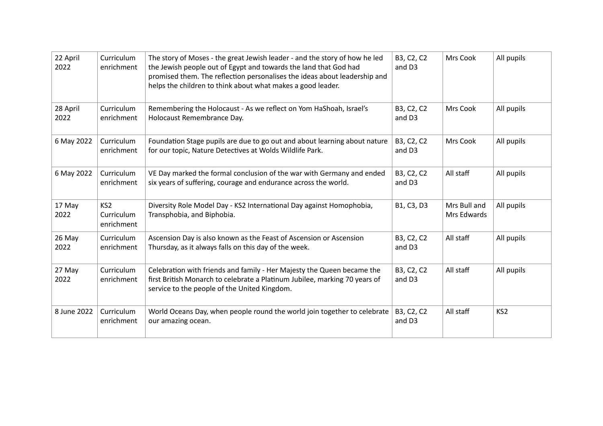| 22 April<br>2022 | Curriculum<br>enrichment                    | The story of Moses - the great Jewish leader - and the story of how he led<br>the Jewish people out of Egypt and towards the land that God had<br>promised them. The reflection personalises the ideas about leadership and<br>helps the children to think about what makes a good leader. | B3, C2, C2<br>and D3 | Mrs Cook                    | All pupils      |
|------------------|---------------------------------------------|--------------------------------------------------------------------------------------------------------------------------------------------------------------------------------------------------------------------------------------------------------------------------------------------|----------------------|-----------------------------|-----------------|
| 28 April<br>2022 | Curriculum<br>enrichment                    | Remembering the Holocaust - As we reflect on Yom HaShoah, Israel's<br>Holocaust Remembrance Day.                                                                                                                                                                                           | B3, C2, C2<br>and D3 | Mrs Cook                    | All pupils      |
| 6 May 2022       | Curriculum<br>enrichment                    | Foundation Stage pupils are due to go out and about learning about nature<br>for our topic, Nature Detectives at Wolds Wildlife Park.                                                                                                                                                      | B3, C2, C2<br>and D3 | Mrs Cook                    | All pupils      |
| 6 May 2022       | Curriculum<br>enrichment                    | VE Day marked the formal conclusion of the war with Germany and ended<br>six years of suffering, courage and endurance across the world.                                                                                                                                                   | B3, C2, C2<br>and D3 | All staff                   | All pupils      |
| 17 May<br>2022   | KS <sub>2</sub><br>Curriculum<br>enrichment | Diversity Role Model Day - KS2 International Day against Homophobia,<br>Transphobia, and Biphobia.                                                                                                                                                                                         | B1, C3, D3           | Mrs Bull and<br>Mrs Edwards | All pupils      |
| 26 May<br>2022   | Curriculum<br>enrichment                    | Ascension Day is also known as the Feast of Ascension or Ascension<br>Thursday, as it always falls on this day of the week.                                                                                                                                                                | B3, C2, C2<br>and D3 | All staff                   | All pupils      |
| 27 May<br>2022   | Curriculum<br>enrichment                    | Celebration with friends and family - Her Majesty the Queen became the<br>first British Monarch to celebrate a Platinum Jubilee, marking 70 years of<br>service to the people of the United Kingdom.                                                                                       | B3, C2, C2<br>and D3 | All staff                   | All pupils      |
| 8 June 2022      | Curriculum<br>enrichment                    | World Oceans Day, when people round the world join together to celebrate<br>our amazing ocean.                                                                                                                                                                                             | B3, C2, C2<br>and D3 | All staff                   | KS <sub>2</sub> |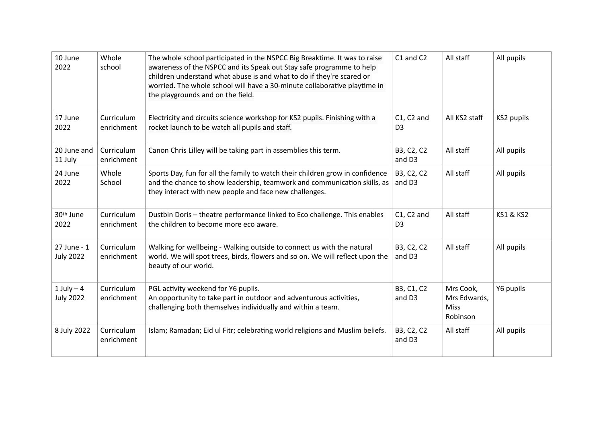| 10 June<br>2022                   | Whole<br>school          | The whole school participated in the NSPCC Big Breaktime. It was to raise<br>awareness of the NSPCC and its Speak out Stay safe programme to help<br>children understand what abuse is and what to do if they're scared or<br>worried. The whole school will have a 30-minute collaborative playtime in<br>the playgrounds and on the field. | C1 and C2                      | All staff                                            | All pupils           |
|-----------------------------------|--------------------------|----------------------------------------------------------------------------------------------------------------------------------------------------------------------------------------------------------------------------------------------------------------------------------------------------------------------------------------------|--------------------------------|------------------------------------------------------|----------------------|
| 17 June<br>2022                   | Curriculum<br>enrichment | Electricity and circuits science workshop for KS2 pupils. Finishing with a<br>rocket launch to be watch all pupils and staff.                                                                                                                                                                                                                | $C1, C2$ and<br>D <sub>3</sub> | All KS2 staff                                        | KS2 pupils           |
| 20 June and<br>11 July            | Curriculum<br>enrichment | Canon Chris Lilley will be taking part in assemblies this term.                                                                                                                                                                                                                                                                              | B3, C2, C2<br>and D3           | All staff                                            | All pupils           |
| 24 June<br>2022                   | Whole<br>School          | Sports Day, fun for all the family to watch their children grow in confidence<br>and the chance to show leadership, teamwork and communication skills, as<br>they interact with new people and face new challenges.                                                                                                                          | B3, C2, C2<br>and D3           | All staff                                            | All pupils           |
| 30th June<br>2022                 | Curriculum<br>enrichment | Dustbin Doris - theatre performance linked to Eco challenge. This enables<br>the children to become more eco aware.                                                                                                                                                                                                                          | $C1, C2$ and<br>D <sub>3</sub> | All staff                                            | <b>KS1 &amp; KS2</b> |
| 27 June - 1<br><b>July 2022</b>   | Curriculum<br>enrichment | Walking for wellbeing - Walking outside to connect us with the natural<br>world. We will spot trees, birds, flowers and so on. We will reflect upon the<br>beauty of our world.                                                                                                                                                              | B3, C2, C2<br>and D3           | All staff                                            | All pupils           |
| $1$ July $-4$<br><b>July 2022</b> | Curriculum<br>enrichment | PGL activity weekend for Y6 pupils.<br>An opportunity to take part in outdoor and adventurous activities,<br>challenging both themselves individually and within a team.                                                                                                                                                                     | B3, C1, C2<br>and D3           | Mrs Cook,<br>Mrs Edwards,<br><b>Miss</b><br>Robinson | Y6 pupils            |
| 8 July 2022                       | Curriculum<br>enrichment | Islam; Ramadan; Eid ul Fitr; celebrating world religions and Muslim beliefs.                                                                                                                                                                                                                                                                 | B3, C2, C2<br>and D3           | All staff                                            | All pupils           |